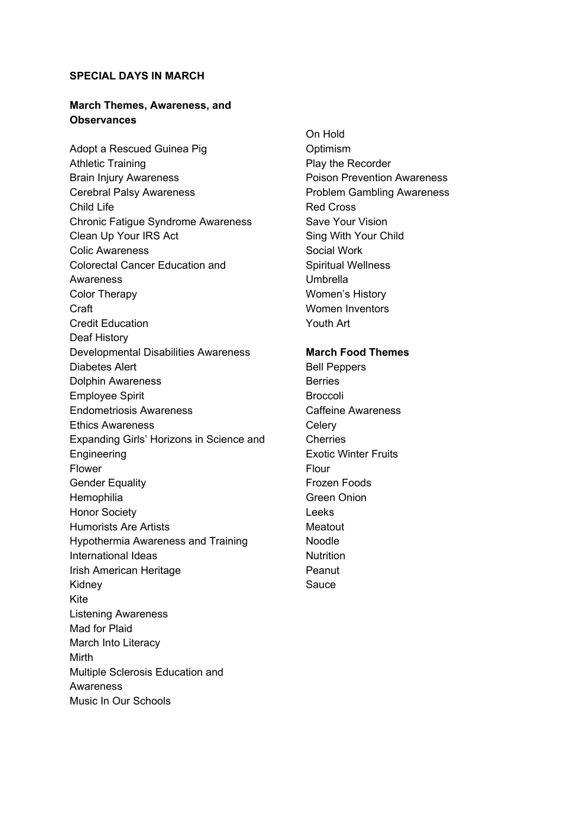#### **SPECIAL DAYS IN MARCH**

### **March Themes, Awareness, and Observances**

Adopt a Rescued Guinea Pig Athletic Training Brain Injury Awareness Cerebral Palsy Awareness Child Life Chronic Fatigue Syndrome Awareness Clean Up Your IRS Act Colic Awareness Colorectal Cancer Education and Awareness Color Therapy Craft Credit Education Deaf History Developmental Disabilities Awareness Diabetes Alert Dolphin Awareness Employee Spirit Endometriosis Awareness Ethics Awareness Expanding Girls' Horizons in Science and Engineering Flower Gender Equality **Hemophilia** Honor Society Humorists Are Artists Hypothermia Awareness and Training International Ideas Irish American Heritage Kidney Kite Listening Awareness Mad for Plaid March Into Literacy Mirth Multiple Sclerosis Education and **Awareness** Music In Our Schools

On Hold **Optimism** Play the Recorder Poison Prevention Awareness Problem Gambling Awareness Red Cross Save Your Vision Sing With Your Child Social Work Spiritual Wellness Umbrella Women's History Women Inventors Youth Art

## **March Food Themes**

Bell Peppers **Berries Broccoli** Caffeine Awareness **Celery Cherries** Exotic Winter Fruits Flour Frozen Foods Green Onion Leeks **Meatout** Noodle **Nutrition** Peanut Sauce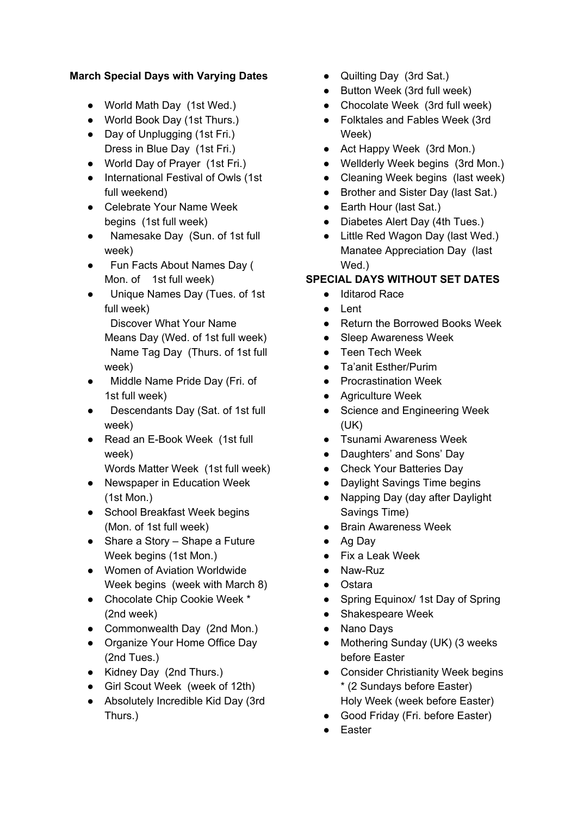# **March Special Days with Varying Dates**

- World Math Day (1st Wed.)
- World Book Day (1st Thurs.)
- Day of Unplugging (1st Fri.) Dress in Blue Day (1st Fri.)
- World Day of Prayer (1st Fri.)
- International Festival of Owls (1st full weekend)
- Celebrate Your Name Week begins (1st full week)
- Namesake Day (Sun. of 1st full week)
- Fun Facts About Names Day ( Mon. of 1st full week)
- Unique Names Day (Tues. of 1st full week)
	- Discover What Your Name Means Day (Wed. of 1st full week) Name Tag Day (Thurs. of 1st full week)
- Middle Name Pride Day (Fri. of 1st full week)
- Descendants Day (Sat. of 1st full week)
- Read an E-Book Week (1st full week)

Words Matter Week (1st full week)

- Newspaper in Education Week (1st Mon.)
- School Breakfast Week begins (Mon. of 1st full week)
- Share a Story Shape a Future Week begins (1st Mon.)
- Women of Aviation Worldwide Week begins (week with March 8)
- Chocolate Chip Cookie Week \* (2nd week)
- Commonwealth Day (2nd Mon.)
- Organize Your Home Office Day (2nd Tues.)
- Kidney Day (2nd Thurs.)
- Girl Scout Week (week of 12th)
- Absolutely Incredible Kid Day (3rd Thurs.)
- Quilting Day (3rd Sat.)
- Button Week (3rd full week)
- Chocolate Week (3rd full week)
- Folktales and Fables Week (3rd Week)
- Act Happy Week (3rd Mon.)
- Wellderly Week begins (3rd Mon.)
- Cleaning Week begins (last week)
- Brother and Sister Day (last Sat.)
- Earth Hour (last Sat.)
- Diabetes Alert Day (4th Tues.)
- Little Red Wagon Day (last Wed.) Manatee Appreciation Day (last Wed.)

# **SPECIAL DAYS WITHOUT SET DATES**

- Iditarod Race
- Lent
- Return the Borrowed Books Week
- Sleep Awareness Week
- Teen Tech Week
- Ta'anit Esther/Purim
- Procrastination Week
- Agriculture Week
- Science and Engineering Week (UK)
- Tsunami Awareness Week
- Daughters' and Sons' Day
- Check Your Batteries Day
- Daylight Savings Time begins
- Napping Day (day after Daylight Savings Time)
- Brain Awareness Week
- Ag Day
- Fix a Leak Week
- Naw-Ruz
- Ostara
- Spring Equinox/ 1st Day of Spring
- Shakespeare Week
- Nano Days
- Mothering Sunday (UK) (3 weeks before Easter
- Consider Christianity Week begins \* (2 Sundays before Easter) Holy Week (week before Easter)
- Good Friday (Fri. before Easter)
- Easter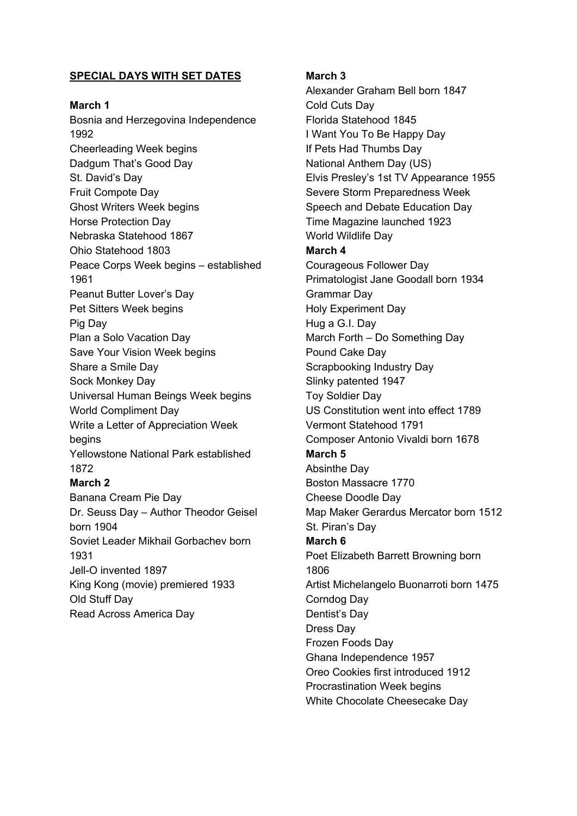## **SPECIAL DAYS WITH SET DATES**

**March 1**

Bosnia and Herzegovina Independence 1992 Cheerleading Week begins Dadgum That's Good Day St. David's Day Fruit Compote Day Ghost Writers Week begins Horse Protection Day Nebraska Statehood 1867 Ohio Statehood 1803 Peace Corps Week begins – established 1961 Peanut Butter Lover's Day Pet Sitters Week begins Pig Day Plan a Solo Vacation Day Save Your Vision Week begins Share a Smile Day Sock Monkey Day Universal Human Beings Week begins World Compliment Day Write a Letter of Appreciation Week begins Yellowstone National Park established 1872 **March 2** Banana Cream Pie Day Dr. Seuss Day – Author Theodor Geisel born 1904 Soviet Leader Mikhail Gorbachev born 1931 Jell-O invented 1897

King Kong (movie) premiered 1933 Old Stuff Day Read Across America Day

#### **March 3**

Alexander Graham Bell born 1847 Cold Cuts Day Florida Statehood 1845 I Want You To Be Happy Day If Pets Had Thumbs Day National Anthem Day (US) Elvis Presley's 1st TV Appearance 1955 Severe Storm Preparedness Week Speech and Debate Education Day Time Magazine launched 1923 World Wildlife Day **March 4** Courageous Follower Day Primatologist Jane Goodall born 1934 Grammar Day Holy Experiment Day Hug a G.I. Day March Forth – Do Something Day Pound Cake Day Scrapbooking Industry Day Slinky patented 1947 Toy Soldier Day US Constitution went into effect 1789 Vermont Statehood 1791 Composer Antonio Vivaldi born 1678 **March 5** Absinthe Day Boston Massacre 1770 Cheese Doodle Day Map Maker Gerardus Mercator born 1512 St. Piran's Day **March 6** Poet Elizabeth Barrett Browning born 1806 Artist Michelangelo Buonarroti born 1475 Corndog Day Dentist's Day Dress Day Frozen Foods Day Ghana Independence 1957 Oreo Cookies first introduced 1912 Procrastination Week begins White Chocolate Cheesecake Day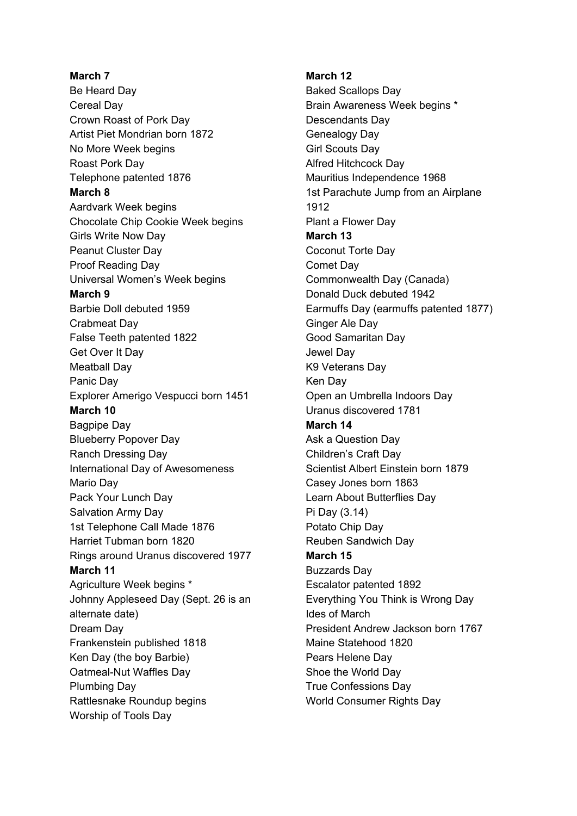**March 7** Be Heard Day Cereal Day Crown Roast of Pork Day Artist Piet Mondrian born 1872 No More Week begins Roast Pork Day Telephone patented 1876 **March 8** Aardvark Week begins Chocolate Chip Cookie Week begins Girls Write Now Day Peanut Cluster Day Proof Reading Day Universal Women's Week begins **March 9** Barbie Doll debuted 1959 Crabmeat Day False Teeth patented 1822 Get Over It Day Meatball Day Panic Day Explorer Amerigo Vespucci born 1451 **March 10** Bagpipe Day Blueberry Popover Day Ranch Dressing Day International Day of Awesomeness Mario Day Pack Your Lunch Day Salvation Army Day 1st Telephone Call Made 1876 Harriet Tubman born 1820 Rings around Uranus discovered 1977 **March 11** Agriculture Week begins \* Johnny Appleseed Day (Sept. 26 is an alternate date) Dream Day Frankenstein published 1818 Ken Day (the boy Barbie) Oatmeal-Nut Waffles Day Plumbing Day Rattlesnake Roundup begins Worship of Tools Day

**March 12**

Baked Scallops Day Brain Awareness Week begins \* Descendants Day Genealogy Day Girl Scouts Day Alfred Hitchcock Day Mauritius Independence 1968 1st Parachute Jump from an Airplane 1912 Plant a Flower Day **March 13** Coconut Torte Day Comet Day Commonwealth Day (Canada) Donald Duck debuted 1942 Earmuffs Day (earmuffs patented 1877) Ginger Ale Day Good Samaritan Day Jewel Day K9 Veterans Day Ken Day Open an Umbrella Indoors Day Uranus discovered 1781 **March 14** Ask a Question Day Children's Craft Day Scientist Albert Einstein born 1879 Casey Jones born 1863 Learn About Butterflies Day Pi Day (3.14) Potato Chip Day Reuben Sandwich Day **March 15** Buzzards Day Escalator patented 1892 Everything You Think is Wrong Day Ides of March President Andrew Jackson born 1767 Maine Statehood 1820 Pears Helene Day Shoe the World Day True Confessions Day World Consumer Rights Day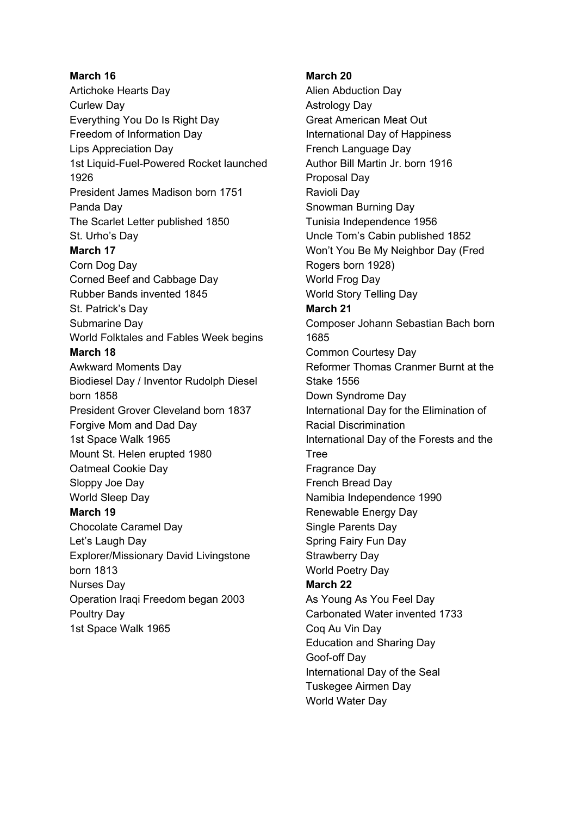# **March 16** Artichoke Hearts Day Curlew Day Everything You Do Is Right Day Freedom of Information Day Lips Appreciation Day 1st Liquid-Fuel-Powered Rocket launched 1926 President James Madison born 1751 Panda Day The Scarlet Letter published 1850 St. Urho's Day **March 17** Corn Dog Day Corned Beef and Cabbage Day Rubber Bands invented 1845 St. Patrick's Day Submarine Day World Folktales and Fables Week begins **March 18** Awkward Moments Day Biodiesel Day / Inventor Rudolph Diesel born 1858 President Grover Cleveland born 1837 Forgive Mom and Dad Day 1st Space Walk 1965 Mount St. Helen erupted 1980 Oatmeal Cookie Day Sloppy Joe Day World Sleep Day **March 19** Chocolate Caramel Day Let's Laugh Day Explorer/Missionary David Livingstone born 1813 Nurses Day Operation Iraqi Freedom began 2003 Poultry Day 1st Space Walk 1965

## **March 20**

Alien Abduction Day Astrology Day Great American Meat Out International Day of Happiness French Language Day Author Bill Martin Jr. born 1916 Proposal Day Ravioli Day Snowman Burning Day Tunisia Independence 1956 Uncle Tom's Cabin published 1852 Won't You Be My Neighbor Day (Fred Rogers born 1928) World Frog Day World Story Telling Day **March 21** Composer Johann Sebastian Bach born 1685 Common Courtesy Day Reformer Thomas Cranmer Burnt at the Stake 1556 Down Syndrome Day International Day for the Elimination of Racial Discrimination International Day of the Forests and the Tree Fragrance Day French Bread Day Namibia Independence 1990 Renewable Energy Day Single Parents Day Spring Fairy Fun Day Strawberry Day World Poetry Day **March 22** As Young As You Feel Day Carbonated Water invented 1733 Coq Au Vin Day Education and Sharing Day Goof-off Day International Day of the Seal Tuskegee Airmen Day World Water Day